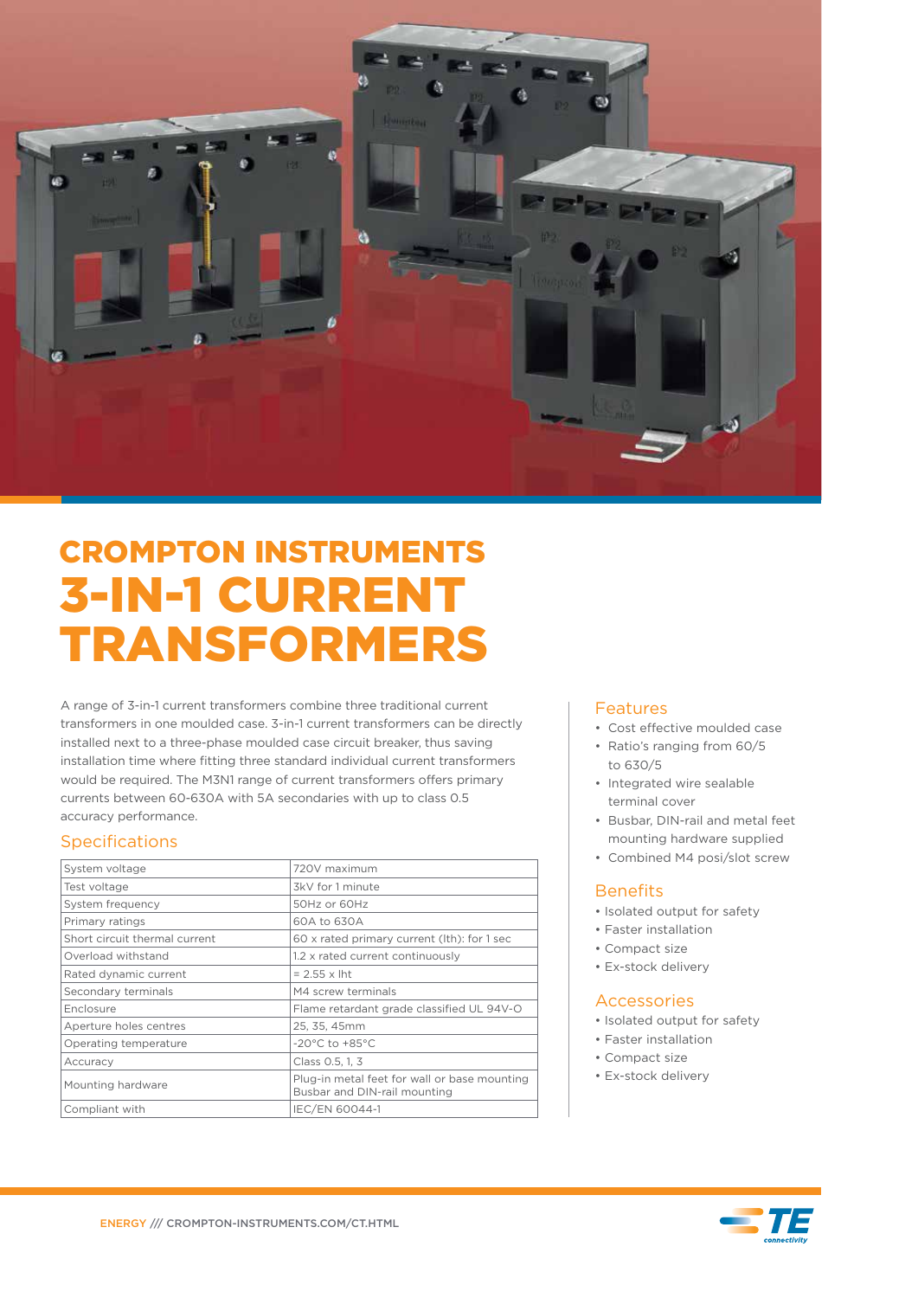

# CROMPTON INSTRUMENTS 3-IN-1 CURRENT TRANSFORMERS

A range of 3-in-1 current transformers combine three traditional current transformers in one moulded case. 3-in-1 current transformers can be directly installed next to a three-phase moulded case circuit breaker, thus saving installation time where fitting three standard individual current transformers would be required. The M3N1 range of current transformers offers primary currents between 60-630A with 5A secondaries with up to class 0.5 accuracy performance.

# **Specifications**

| System voltage                | 720V maximum                                                                 |
|-------------------------------|------------------------------------------------------------------------------|
| Test voltage                  | 3kV for 1 minute                                                             |
| System frequency              | 50Hz or 60Hz                                                                 |
| Primary ratings               | 60A to 630A                                                                  |
| Short circuit thermal current | 60 x rated primary current (lth): for 1 sec                                  |
| Overload withstand            | 1.2 x rated current continuously                                             |
| Rated dynamic current         | $= 2.55 \times$ lht                                                          |
| Secondary terminals           | M4 screw terminals                                                           |
| Enclosure                     | Flame retardant grade classified UL 94V-O                                    |
| Aperture holes centres        | 25, 35, 45mm                                                                 |
| Operating temperature         | $-20^{\circ}$ C to $+85^{\circ}$ C                                           |
| Accuracy                      | Class 0.5, 1, 3                                                              |
| Mounting hardware             | Plug-in metal feet for wall or base mounting<br>Busbar and DIN-rail mounting |
| Compliant with                | IEC/EN 60044-1                                                               |

# Features

- Cost effective moulded case
- Ratio's ranging from 60/5 to 630/5
- Integrated wire sealable terminal cover
- Busbar, DIN-rail and metal feet mounting hardware supplied
- Combined M4 posi/slot screw

# **Benefits**

- Isolated output for safety
- Faster installation
- Compact size
- Ex-stock delivery

#### Accessories

- Isolated output for safety
- Faster installation
- Compact size
- Ex-stock delivery